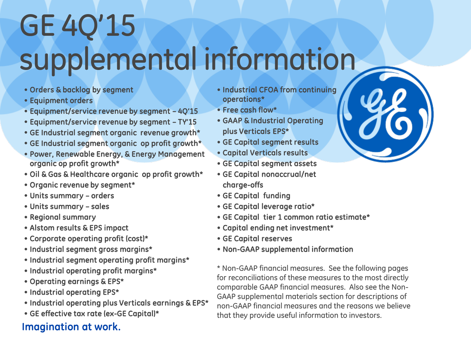# GE 4Q'15 supplemental information

- Orders & backlog by segment
- Equipment orders
- Equipment/service revenue by segment 4Q'15
- Equipment/service revenue by segment TY'15
- GE Industrial segment organic revenue growth\*
- GE Industrial segment organic op profit growth\*
- Power, Renewable Energy, & Energy Management organic op profit growth\*
- Oil & Gas & Healthcare organic op profit growth\*
- Organic revenue by segment\*
- Units summary orders
- Units summary sales
- Regional summary
- Alstom results & EPS impact
- Corporate operating profit (cost)\*
- Industrial segment gross margins\*
- Industrial segment operating profit margins\*
- Industrial operating profit margins\*
- Operating earnings & EPS\*
- Industrial operating EPS\*
- Industrial operating plus Verticals earnings & EPS\*
- GE effective tax rate (ex-GE Capital)\*

### Imagination at work.

- Industrial CFOA from continuing operations\*
- Free cash flow\*
- GAAP & Industrial Operating plus Verticals EPS\*
- GE Capital segment results
- Capital Verticals results
- GE Capital segment assets
- GE Capital nonaccrual/net charge-offs
- GE Capital funding
- GE Capital leverage ratio\*
- GE Capital tier 1 common ratio estimate\*
- Capital ending net investment\*
- GE Capital reserves
- Non-GAAP supplemental information

\* Non-GAAP financial measures. See the following pages for reconciliations of these measures to the most directly comparable GAAP financial measures. Also see the Non-GAAP supplemental materials section for descriptions of non-GAAP financial measures and the reasons we believe that they provide useful information to investors.

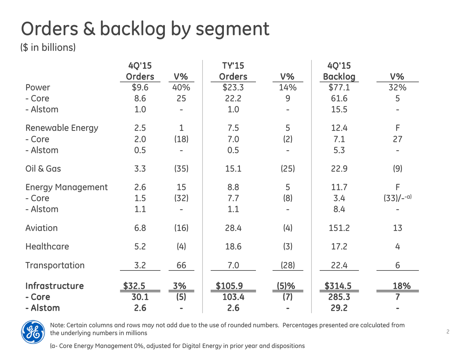## Orders & backlog by segment

(\$ in billions)

|                          | 4Q'15         |                  | <b>TY'15</b>  |                              | 4Q'15          |                |
|--------------------------|---------------|------------------|---------------|------------------------------|----------------|----------------|
|                          | <b>Orders</b> | $V\%$            | <b>Orders</b> | $V\%$                        | <b>Backlog</b> | $V\%$          |
| Power                    | \$9.6         | 40%              | \$23.3        | 14%                          | \$77.1         | 32%            |
| - Core                   | 8.6           | 25               | 22.2          | 9                            | 61.6           | 5              |
| - Alstom                 | 1.0           |                  | 1.0           |                              | 15.5           |                |
| <b>Renewable Energy</b>  | 2.5           | $\mathbf{1}$     | 7.5           | 5                            | 12.4           | $\mathsf{F}$   |
| - Core                   | 2.0           | (18)             | 7.0           | (2)                          | 7.1            | 27             |
| - Alstom                 | 0.5           |                  | 0.5           | $\qquad \qquad \blacksquare$ | 5.3            |                |
| Oil & Gas                | 3.3           | (35)             | 15.1          | (25)                         | 22.9           | (9)            |
| <b>Energy Management</b> | 2.6           | 15               | 8.8           | 5                            | 11.7           | F              |
| - Core                   | 1.5           | (32)             | 7.7           | (8)                          | 3.4            | $(33)/-a$      |
| - Alstom                 | 1.1           |                  | 1.1           |                              | 8.4            |                |
| Aviation                 | 6.8           | (16)             | 28.4          | (4)                          | 151.2          | 13             |
| <b>Healthcare</b>        | 5.2           | (4)              | 18.6          | (3)                          | 17.2           | 4              |
| Transportation           | 3.2           | 66               | 7.0           | (28)                         | 22.4           | 6              |
| Infrastructure           | \$32.5        | 3%               | \$105.9       | $(5)$ %                      | \$314.5        | 18%            |
| - Core                   | 30.1          | $\overline{(5)}$ | 103.4         | (7)                          | 285.3          | $\overline{7}$ |
| - Alstom                 | 2.6           |                  | 2.6           |                              | 29.2           |                |



Note: Certain columns and rows may not add due to the use of rounded numbers. Percentages presented are calculated from the underlying numbers in millions

(a- Core Energy Management 0%, adjusted for Digital Energy in prior year and dispositions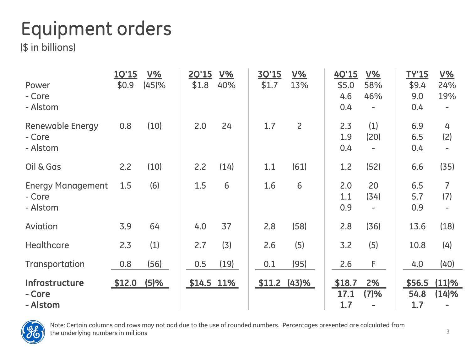## Equipment orders

(\$ in billions)

| Power<br>- Core<br>- Alstom                    | <u> 10'15</u><br>\$0.9 | <u>V%</u><br>(45)% | 2Q'15<br>\$1.8    | $V\%$<br>40% | 3Q'15<br>\$1.7 | <u>V%</u><br>13% | 4Q'15<br>\$5.0<br>4.6<br>0.4 | <u>V%</u><br>58%<br>46% | <b>TY'15</b><br>\$9.4<br>9.0<br>0.4 | $\underline{V\%}$<br>24%<br>19% |
|------------------------------------------------|------------------------|--------------------|-------------------|--------------|----------------|------------------|------------------------------|-------------------------|-------------------------------------|---------------------------------|
| <b>Renewable Energy</b><br>- Core<br>- Alstom  | 0.8                    | (10)               | 2.0               | 24           | 1.7            | $\overline{c}$   | 2.3<br>1.9<br>0.4            | (1)<br>(20)             | 6.9<br>6.5<br>0.4                   | 4<br>(2)                        |
| Oil & Gas                                      | 2.2                    | (10)               | 2.2               | (14)         | 1.1            | (61)             | 1.2                          | (52)                    | 6.6                                 | (35)                            |
| <b>Energy Management</b><br>- Core<br>- Alstom | 1.5                    | (6)                | 1.5               | 6            | 1.6            | 6                | 2.0<br>1.1<br>0.9            | 20<br>(34)              | 6.5<br>5.7<br>0.9                   | $\overline{7}$<br>(7)           |
| Aviation                                       | 3.9                    | 64                 | 4.0               | 37           | 2.8            | (58)             | 2.8                          | (36)                    | 13.6                                | (18)                            |
| Healthcare                                     | 2.3                    | (1)                | 2.7               | (3)          | 2.6            | (5)              | 3.2                          | (5)                     | 10.8                                | (4)                             |
| Transportation                                 | 0.8                    | (56)               | 0.5               | (19)         | 0.1            | (95)             | 2.6                          | $\mathsf F$             | 4.0                                 | (40)                            |
| Infrastructure<br>- Core<br>- Alstom           | \$12.0                 | $(5)$ %            | <u>\$14.5 11%</u> |              | \$11.2 (43)%   |                  | \$18.7<br>17.1<br>1.7        | 2%<br>(7)%              | \$56.5<br>54.8<br>1.7               | (11)%<br>(14)%                  |

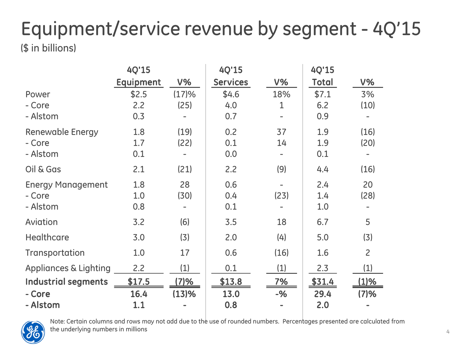### (\$ in billions) Equipment/service revenue by segment - 4Q'15

|                                  | 4Q'15            |       | 4Q'15           |        | 4Q'15        |                |
|----------------------------------|------------------|-------|-----------------|--------|--------------|----------------|
|                                  | <b>Equipment</b> | $V\%$ | <b>Services</b> | $V\%$  | <b>Total</b> | $V\%$          |
| Power                            | \$2.5            | (17)% | \$4.6           | 18%    | \$7.1        | 3%             |
| - Core                           | 2.2              | (25)  | 4.0             | 1      | 6.2          | (10)           |
| - Alstom                         | 0.3              |       | 0.7             |        | 0.9          |                |
| <b>Renewable Energy</b>          | 1.8              | (19)  | 0.2             | 37     | 1.9          | (16)           |
| - Core                           | 1.7              | (22)  | 0.1             | 14     | 1.9          | (20)           |
| - Alstom                         | 0.1              |       | 0.0             |        | 0.1          |                |
| Oil & Gas                        | 2.1              | (21)  | 2.2             | (9)    | 4.4          | (16)           |
| <b>Energy Management</b>         | 1.8              | 28    | 0.6             |        | 2.4          | 20             |
| - Core                           | 1.0              | (30)  | 0.4             | (23)   | 1.4          | (28)           |
| - Alstom                         | 0.8              |       | 0.1             |        | 1.0          |                |
| Aviation                         | 3.2              | (6)   | 3.5             | 18     | 6.7          | 5              |
| <b>Healthcare</b>                | 3.0              | (3)   | 2.0             | (4)    | 5.0          | (3)            |
| Transportation                   | 1.0              | 17    | 0.6             | (16)   | 1.6          | $\overline{2}$ |
| <b>Appliances &amp; Lighting</b> | 2.2              | (1)   | 0.1             | (1)    | 2.3          | (1)            |
| <b>Industrial segments</b>       | \$17.5           | (7)%  | <u>\$13.8</u>   | 7%     | \$31.4       | (1)%           |
| - Core                           | 16.4             | (13)% | 13.0            | $-9/0$ | 29.4         | (7)%           |
| - Alstom                         | 1.1              |       | 0.8             |        | 2.0          |                |

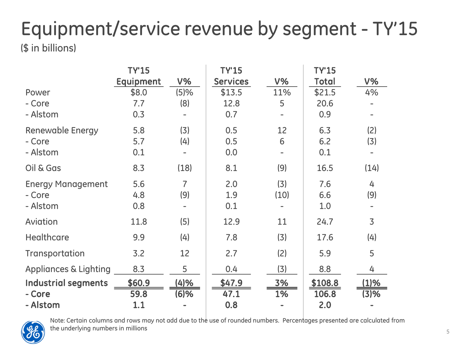### (\$ in billions) Equipment/service revenue by segment - TY'15

|                                  | <b>TY'15</b>     |                | <b>TY'15</b>    |           | <b>TY'15</b> |                |
|----------------------------------|------------------|----------------|-----------------|-----------|--------------|----------------|
|                                  | <b>Equipment</b> | $V\%$          | <b>Services</b> | $V\%$     | <b>Total</b> | $V\%$          |
| Power                            | \$8.0            | (5)%           | \$13.5          | 11%       | \$21.5       | 4%             |
| - Core                           | 7.7              | (8)            | 12.8            | 5         | 20.6         |                |
| - Alstom                         | 0.3              |                | 0.7             |           | 0.9          |                |
| Renewable Energy                 | 5.8              | (3)            | 0.5             | 12        | 6.3          | (2)            |
| - Core                           | 5.7              | (4)            | 0.5             | 6         | 6.2          | (3)            |
| - Alstom                         | 0.1              |                | 0.0             |           | 0.1          |                |
| Oil & Gas                        | 8.3              | (18)           | 8.1             | (9)       | 16.5         | (14)           |
| <b>Energy Management</b>         | 5.6              | $\overline{7}$ | 2.0             | (3)       | 7.6          | 4              |
| - Core                           | 4.8              | (9)            | 1.9             | (10)      | 6.6          | (9)            |
| - Alstom                         | 0.8              |                | 0.1             |           | 1.0          |                |
| Aviation                         | 11.8             | (5)            | 12.9            | 11        | 24.7         | $\overline{3}$ |
| <b>Healthcare</b>                | 9.9              | (4)            | 7.8             | (3)       | 17.6         | (4)            |
| Transportation                   | 3.2              | 12             | 2.7             | (2)       | 5.9          | 5              |
| <b>Appliances &amp; Lighting</b> | 8.3              | 5              | 0.4             | (3)       | 8.8          | 4              |
| Industrial segments              | \$60.9           | <u>(4)%</u>    | \$47.9          | <u>3%</u> | \$108.8      | $(1)$ %        |
| - Core                           | 59.8             | $(6)$ %        | 47.1            | 1%        | 106.8        | (3)%           |
| - Alstom                         | 1.1              |                | 0.8             |           | 2.0          |                |

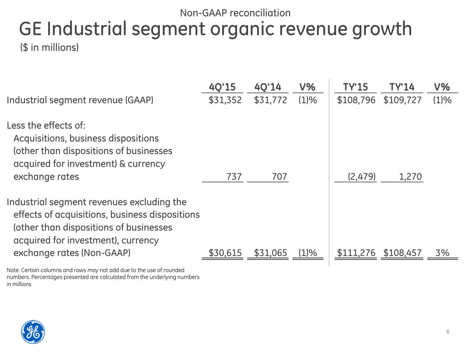## GE Industrial segment organic revenue growth

(\$ in millions)

|                                                                                                                                                                                                          | 4Q'15    | 40'14    | $V\%$   | <b>TY'15</b>        | <b>TY'14</b> | $V\%$   |
|----------------------------------------------------------------------------------------------------------------------------------------------------------------------------------------------------------|----------|----------|---------|---------------------|--------------|---------|
| Industrial segment revenue (GAAP)                                                                                                                                                                        | \$31,352 | \$31,772 | $(1)\%$ | \$108,796           | \$109,727    | $(1)\%$ |
| Less the effects of:<br>Acquisitions, business dispositions<br>(other than dispositions of businesses<br>acquired for investment) & currency<br>exchange rates                                           | 737      | 707      |         | (2, 479)            | 1,270        |         |
| Industrial segment revenues excluding the<br>effects of acquisitions, business dispositions<br>(other than dispositions of businesses<br>acquired for investment), currency<br>exchange rates (Non-GAAP) | \$30,615 | \$31,065 | $(1)\%$ | \$111,276 \$108,457 |              | 3%      |

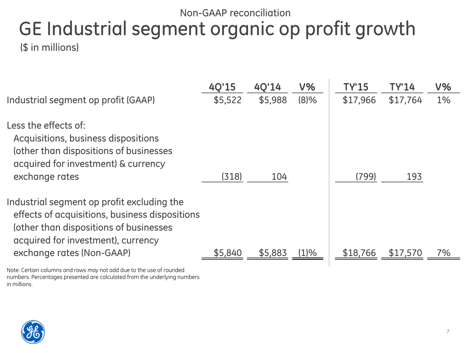## GE Industrial segment organic op profit growth

(\$ in millions)

|                                                                                                                                                                              | 40'15   | <b>40'14</b> | $V\%$   | <b>TY'15</b> | <b>TY'14</b> | $V\%$ |
|------------------------------------------------------------------------------------------------------------------------------------------------------------------------------|---------|--------------|---------|--------------|--------------|-------|
| Industrial segment op profit (GAAP)                                                                                                                                          | \$5,522 | \$5,988      | $(8)\%$ | \$17,966     | \$17,764     | $1\%$ |
| Less the effects of:<br>Acquisitions, business dispositions<br>(other than dispositions of businesses<br>acquired for investment) & currency                                 |         |              |         |              |              |       |
| exchange rates                                                                                                                                                               | (318)   | 104          |         | (799)        | 193          |       |
| Industrial segment op profit excluding the<br>effects of acquisitions, business dispositions<br>(other than dispositions of businesses<br>acquired for investment), currency |         |              |         |              |              |       |
| exchange rates (Non-GAAP)                                                                                                                                                    | \$5,840 | \$5,883      | $(1)\%$ | \$18,766     | \$17,570     | 7%    |

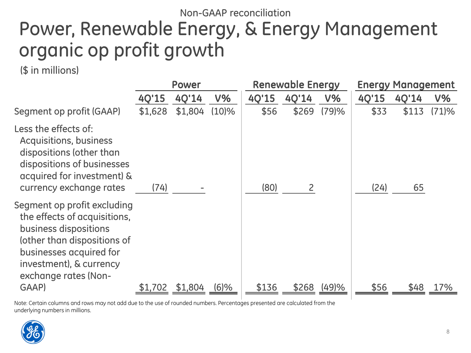### Power, Renewable Energy, & Energy Management organic op profit growth

(\$ in millions)

| 4Q'15   | 4Q'14   |          |         | <b>Renewable Energy</b> |       |       | <b>Energy Management</b> |       |  |
|---------|---------|----------|---------|-------------------------|-------|-------|--------------------------|-------|--|
|         |         | $V\%$    | 4Q'15   | 4Q'14                   | $V\%$ | 4Q'15 | 4Q'14                    | $V\%$ |  |
| \$1,628 | \$1,804 | $(10)\%$ | \$56    | \$269                   | (79)% | \$33  | \$113                    | (71)% |  |
| (74)    |         |          | (80)    | $\overline{c}$          |       | (24)  | 65                       |       |  |
| \$1,702 |         |          |         |                         |       |       |                          | 17%   |  |
|         |         | \$1,804  | $(6)\%$ | \$136                   | \$268 | (49)% | \$56                     | \$48  |  |

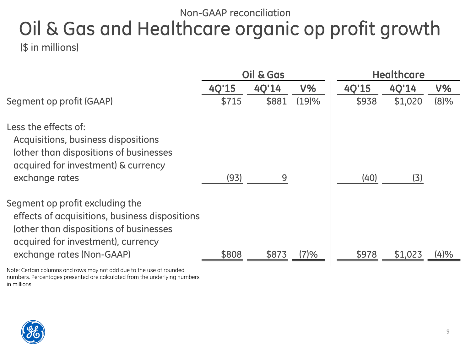## Oil & Gas and Healthcare organic op profit growth

(\$ in millions)

|                                                                                                                                                                                                | Oil & Gas |       |       | <b>Healthcare</b> |              |         |  |
|------------------------------------------------------------------------------------------------------------------------------------------------------------------------------------------------|-----------|-------|-------|-------------------|--------------|---------|--|
|                                                                                                                                                                                                | 4Q'15     | 4Q'14 | $V\%$ | <b>40'15</b>      | <b>40'14</b> | $V\%$   |  |
| Segment op profit (GAAP)                                                                                                                                                                       | \$715     | \$881 | (19)% | \$938             | \$1,020      | $(8)\%$ |  |
| Less the effects of:<br>Acquisitions, business dispositions<br>(other than dispositions of businesses<br>acquired for investment) & currency<br>exchange rates                                 | (93)      | 9     |       | (40)              | (3)          |         |  |
| Segment op profit excluding the<br>effects of acquisitions, business dispositions<br>(other than dispositions of businesses<br>acquired for investment), currency<br>exchange rates (Non-GAAP) | \$808     | \$873 | (7)%  | \$978             | \$1,023      |         |  |

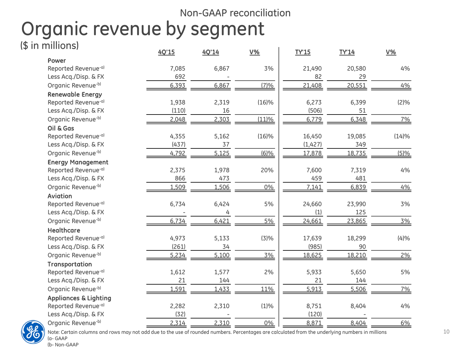### Organic revenue by segment

(\$ in millions)

|                                  | 4Q'15 | 40'14 | $\underline{V\%}$ | <b>TY'15</b> | <b>TY'14</b> | <u>V%</u>      |
|----------------------------------|-------|-------|-------------------|--------------|--------------|----------------|
| Power                            |       |       |                   |              |              |                |
| Reported Revenue-a)              | 7,085 | 6,867 | 3%                | 21,490       | 20,580       | 4%             |
| Less Acq./Disp. & FX             | 692   |       |                   | 82           | 29           |                |
| Organic Revenue-bl               | 6,393 | 6,867 | (7)%              | 21,408       | 20,551       | 4%             |
| <b>Renewable Energy</b>          |       |       |                   |              |              |                |
| Reported Revenue-a)              | 1,938 | 2,319 | $(16)\%$          | 6,273        | 6,399        | (2)%           |
| Less Acq./Disp. & FX             | (110) | 16    |                   | (506)        | 51           |                |
| Organic Revenue-b)               | 2,048 | 2,303 | (11)%             | 6,779        | 6,348        | 7%             |
| Oil & Gas                        |       |       |                   |              |              |                |
| Reported Revenue-a)              | 4,355 | 5,162 | $(16)\%$          | 16,450       | 19,085       | (14)%          |
| Less Acq./Disp. & FX             | (437) | 37    |                   | (1, 427)     | 349          |                |
| Organic Revenue-bl               | 4,792 | 5,125 | $(6)$ %           | 17,878       | 18,735       | (5)%           |
| <b>Energy Management</b>         |       |       |                   |              |              |                |
| Reported Revenue-a)              | 2,375 | 1,978 | 20%               | 7,600        | 7,319        | 4%             |
| Less Acq./Disp. & FX             | 866   | 473   |                   | 459          | 481          |                |
| Organic Revenue-bl               | 1,509 | 1,506 | 0%                | 7,141        | 6,839        | 4%             |
| <b>Aviation</b>                  |       |       |                   |              |              |                |
| Reported Revenue-a)              | 6,734 | 6,424 | 5%                | 24,660       | 23,990       | 3%             |
| Less Acq./Disp. & FX             |       | 4     |                   | (1)          | 125          |                |
| Organic Revenue-bl               | 6,734 | 6,421 | 5%                | 24,661       | 23,865       | 3%             |
| <b>Healthcare</b>                |       |       |                   |              |              |                |
| Reported Revenue-a)              | 4,973 | 5,133 | (3)%              | 17,639       | 18,299       | (4)%           |
| Less Acq./Disp. & FX             | (261) | 34    |                   | (985)        | 90           |                |
| Organic Revenue-bl               | 5,234 | 5,100 | 3%                | 18,625       | 18,210       | $2\frac{9}{6}$ |
| <b>Transportation</b>            |       |       |                   |              |              |                |
| Reported Revenue-a)              | 1,612 | 1,577 | 2%                | 5,933        | 5,650        | 5%             |
| Less Acq./Disp. & FX             | 21    | 144   |                   | 21           | 144          |                |
| Organic Revenue-bl               | 1,591 | 1,433 | 11%               | 5,913        | 5,506        | 7%             |
| <b>Appliances &amp; Lighting</b> |       |       |                   |              |              |                |
| Reported Revenue-a)              | 2,282 | 2,310 | $(1)\%$           | 8,751        | 8,404        | 4%             |
| Less Acq./Disp. & FX             | (32)  |       |                   | (120)        |              |                |
| Organic Revenue-bl               | 2,314 | 2,310 | 0%                | 8,871        | 8,404        | 6%             |
|                                  |       |       |                   |              |              |                |



Note: Certain columns and rows may not add due to the use of rounded numbers. Percentages are calculated from the underlying numbers in millions (a- GAAP

(b- Non-GAAP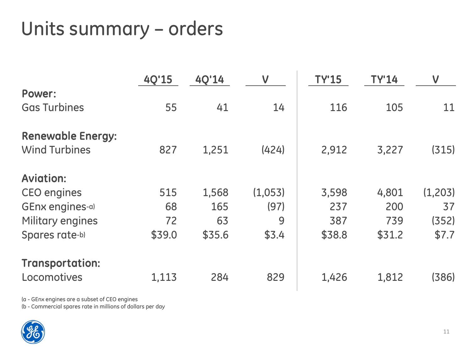### Units summary – orders

|                                                  | 4Q'15  | 40'14  | $\mathsf{V}$ | <b>TY'15</b> | <b>TY'14</b> | $\mathsf{V}$ |
|--------------------------------------------------|--------|--------|--------------|--------------|--------------|--------------|
| <b>Power:</b><br><b>Gas Turbines</b>             | 55     | 41     | 14           | 116          | 105          | 11           |
| <b>Renewable Energy:</b><br><b>Wind Turbines</b> | 827    | 1,251  | (424)        | 2,912        | 3,227        | (315)        |
| <b>Aviation:</b>                                 |        |        |              |              |              |              |
| <b>CEO</b> engines                               | 515    | 1,568  | (1,053)      | 3,598        | 4,801        | (1,203)      |
| <b>GEnx engines-al</b>                           | 68     | 165    | (97)         | 237          | 200          | 37           |
| Military engines                                 | 72     | 63     | 9            | 387          | 739          | (352)        |
| Spares rate-b)                                   | \$39.0 | \$35.6 | \$3.4        | \$38.8       | \$31.2       | \$7.7        |
| <b>Transportation:</b>                           |        |        |              |              |              |              |
| Locomotives                                      | 1,113  | 284    | 829          | 1,426        | 1,812        | (386)        |

(a - GEnx engines are a subset of CEO engines

(b - Commercial spares rate in millions of dollars per day

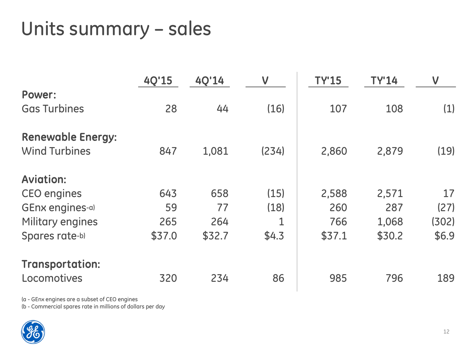## Units summary – sales

|                                                  | 4Q'15  | 4Q'14  | $\mathsf{V}$ | <b>TY'15</b> | <b>TY'14</b> | $\mathsf{V}$ |
|--------------------------------------------------|--------|--------|--------------|--------------|--------------|--------------|
| Power:<br><b>Gas Turbines</b>                    | 28     | 44     | (16)         | 107          | 108          | (1)          |
| <b>Renewable Energy:</b><br><b>Wind Turbines</b> | 847    | 1,081  | (234)        | 2,860        | 2,879        | (19)         |
| <b>Aviation:</b>                                 |        |        |              |              |              |              |
| <b>CEO</b> engines                               | 643    | 658    | (15)         | 2,588        | 2,571        | 17           |
| <b>GEnx engines-al</b>                           | 59     | 77     | (18)         | 260          | 287          | (27)         |
| Military engines                                 | 265    | 264    | $\mathbf{1}$ | 766          | 1,068        | (302)        |
| Spares rate-b)                                   | \$37.0 | \$32.7 | \$4.3        | \$37.1       | \$30.2       | \$6.9        |
| <b>Transportation:</b>                           |        |        |              |              |              |              |
| Locomotives                                      | 320    | 234    | 86           | 985          | 796          | 189          |

(a - GEnx engines are a subset of CEO engines

(b - Commercial spares rate in millions of dollars per day

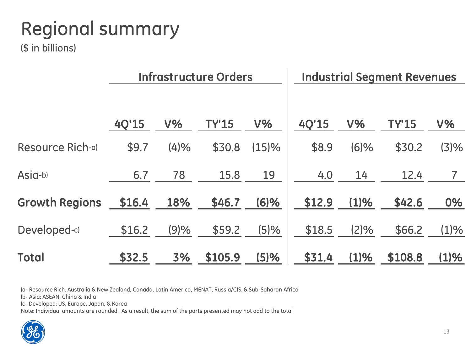## Regional summary

(\$ in billions)

|                       |              |       | <b>Infrastructure Orders</b> |          | <b>Industrial Segment Revenues</b> |         |              |         |  |
|-----------------------|--------------|-------|------------------------------|----------|------------------------------------|---------|--------------|---------|--|
|                       | <b>40'15</b> | $V\%$ | <b>TY'15</b>                 | $V\%$    | 4Q'15                              | $V\%$   | <b>TY'15</b> | $V\%$   |  |
| Resource Rich-al      | \$9.7        | (4)%  | \$30.8                       | $(15)\%$ | \$8.9                              | $(6)\%$ | \$30.2       | (3)%    |  |
| Asia-b)               | 6.7          | 78    | 15.8                         | 19       | 4.0                                | 14      | 12.4         |         |  |
| <b>Growth Regions</b> | \$16.4       | 18%   | \$46.7                       | $(6)$ %  | \$12.9                             | (1)%    | \$42.6       | 0%      |  |
| Developed-c)          | \$16.2       | (9)%  | \$59.2                       | (5)%     | \$18.5                             | (2)%    | \$66.2       | $(1)\%$ |  |
| <b>Total</b>          | \$32.5       | 3%    | \$105.9                      | (5)%     | \$31.4                             | $(1)$ % | \$108.8      | (1)%    |  |

(a- Resource Rich: Australia & New Zealand, Canada, Latin America, MENAT, Russia/CIS, & Sub-Saharan Africa

(b- Asia: ASEAN, China & India

(c- Developed: US, Europe, Japan, & Korea

Note: Individual amounts are rounded. As a result, the sum of the parts presented may not add to the total

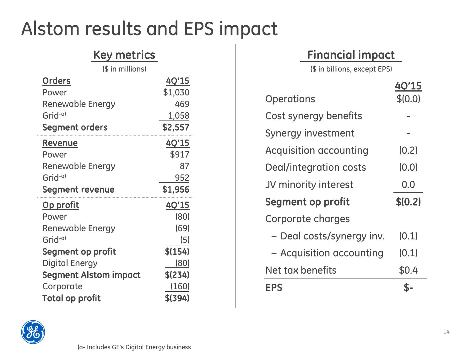### Alstom results and EPS impact

| <b>Orders</b><br>Power<br>Renewable Energy<br>Grid-al<br>Segment orders | 40'15<br>\$1,030<br>469<br>1,058<br>\$2,557 |
|-------------------------------------------------------------------------|---------------------------------------------|
| <b>Revenue</b>                                                          | 4Q'15                                       |
| Power                                                                   | \$917                                       |
| Renewable Energy                                                        | 87                                          |
| Grid-a)                                                                 | 952                                         |
| <b>Segment revenue</b>                                                  | \$1,956                                     |
|                                                                         |                                             |
| <u>Op profit</u>                                                        | 4Q'15                                       |
| Power                                                                   | (80)                                        |
| Renewable Energy                                                        | (69)                                        |
| Grid <sup>-a)</sup>                                                     | (5)                                         |
| Segment op profit                                                       | \$(154)                                     |
| Digital Energy                                                          | (80)                                        |
| Segment Alstom impact                                                   | \$(234)                                     |
| Corporate                                                               | (160)                                       |

### Key metrics **Financial impact**

(\$ in millions) (\$ in billions, except EPS)

|                               | 4Q'15   |
|-------------------------------|---------|
| <b>Operations</b>             | \$(0.0) |
| Cost synergy benefits         |         |
| <b>Synergy investment</b>     |         |
| <b>Acquisition accounting</b> | (0.2)   |
| Deal/integration costs        | (0.0)   |
| JV minority interest          | 0.0     |
| Segment op profit             | \$(0.2) |
| Corporate charges             |         |
| - Deal costs/synergy inv.     | (0.1)   |
| - Acquisition accounting      | (0.1)   |
| Net tax benefits              | \$0.4   |
| <b>EPS</b>                    | \$-     |

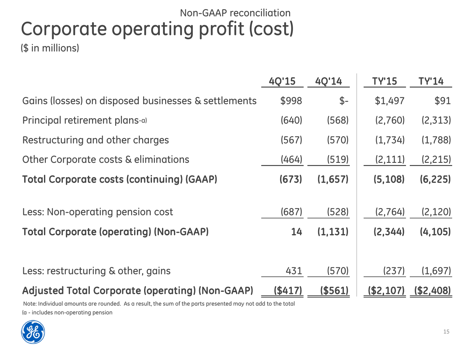### Corporate operating profit (cost) Non-GAAP reconciliation

(\$ in millions)

|                                                     | 4Q'15    | <b>40'14</b> | <b>TY'15</b> | <b>TY'14</b> |
|-----------------------------------------------------|----------|--------------|--------------|--------------|
| Gains (losses) on disposed businesses & settlements | \$998    | $$-$         | \$1,497      | \$91         |
| Principal retirement plans-a)                       | (640)    | (568)        | (2,760)      | (2,313)      |
| Restructuring and other charges                     | (567)    | (570)        | (1, 734)     | (1,788)      |
| Other Corporate costs & eliminations                | (464)    | (519)        | (2, 111)     | (2, 215)     |
| <b>Total Corporate costs (continuing) (GAAP)</b>    | (673)    | (1,657)      | (5, 108)     | (6, 225)     |
|                                                     |          |              |              |              |
| Less: Non-operating pension cost                    | (687)    | (528)        | (2,764)      | (2, 120)     |
| <b>Total Corporate (operating) (Non-GAAP)</b>       | 14       | (1, 131)     | (2, 344)     | (4, 105)     |
|                                                     |          |              |              |              |
| Less: restructuring & other, gains                  | 431      | (570)        | (237)        | (1,697)      |
| Adjusted Total Corporate (operating) (Non-GAAP)     | ( \$417) | (\$561)      | (\$2,107)    | ( \$2,408)   |

Note: Individual amounts are rounded. As a result, the sum of the parts presented may not add to the total

(a - includes non-operating pension

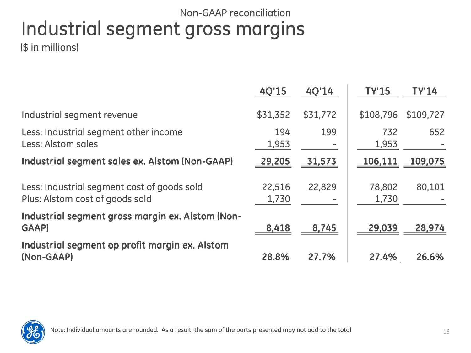### Industrial segment gross margins Non-GAAP reconciliation

(\$ in millions)

|                                                                                | <b>40'15</b>    | <b>40'14</b>  | <b>TY'15</b>    | <b>TY'14</b> |
|--------------------------------------------------------------------------------|-----------------|---------------|-----------------|--------------|
| Industrial segment revenue                                                     | \$31,352        | \$31,772      | \$108,796       | \$109,727    |
| Less: Industrial segment other income<br>Less: Alstom sales                    | 194<br>1,953    | 199           | 732<br>1,953    | 652          |
| Industrial segment sales ex. Alstom (Non-GAAP)                                 | 29,205          | <u>31,573</u> | 106,111         | 109,075      |
| Less: Industrial segment cost of goods sold<br>Plus: Alstom cost of goods sold | 22,516<br>1,730 | 22,829        | 78,802<br>1,730 | 80,101       |
| Industrial segment gross margin ex. Alstom (Non-<br>GAAP)                      | 8,418           | 8,745         | 29,039          | 28,974       |
| Industrial segment op profit margin ex. Alstom<br>(Non-GAAP)                   | 28.8%           | 27.7%         | 27.4%           | 26.6%        |

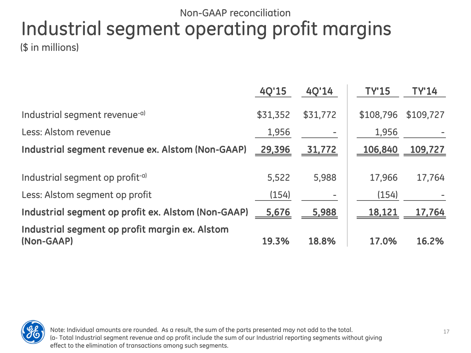### (\$ in millions) Industrial segment operating profit margins Non-GAAP reconciliation

|                                                              | 4Q'15    | 40'14    | <b>TY'15</b>  | <b>TY'14</b> |
|--------------------------------------------------------------|----------|----------|---------------|--------------|
| Industrial segment revenue-a)                                | \$31,352 | \$31,772 | \$108,796     | \$109,727    |
| Less: Alstom revenue                                         | 1,956    |          | 1,956         |              |
| Industrial segment revenue ex. Alstom (Non-GAAP)             | 29,396   | 31,772   | 106,840       | 109,727      |
| Industrial segment op profit-a)                              | 5,522    | 5,988    | 17,966        | 17,764       |
| Less: Alstom segment op profit                               | (154)    |          | (154)         |              |
| Industrial segment op profit ex. Alstom (Non-GAAP)           | 5,676    | 5,988    | <u>18,121</u> | 17,764       |
| Industrial segment op profit margin ex. Alstom<br>(Non-GAAP) | 19.3%    | 18.8%    | 17.0%         | 16.2%        |

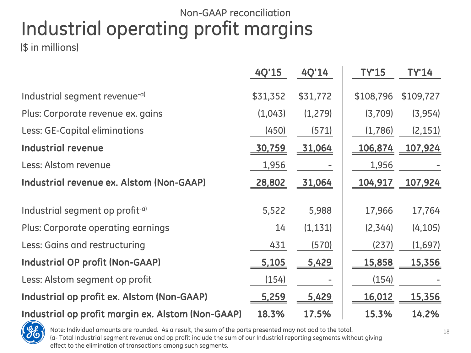### Industrial operating profit margins Non-GAAP reconciliation

(\$ in millions)

|                                                   | 4Q'15         | 4Q'14         | <b>TY'15</b>   | <b>TY'14</b>  |
|---------------------------------------------------|---------------|---------------|----------------|---------------|
| Industrial segment revenue-a)                     | \$31,352      | \$31,772      | \$108,796      | \$109,727     |
| Plus: Corporate revenue ex. gains                 | (1,043)       | (1, 279)      | (3,709)        | (3, 954)      |
| Less: GE-Capital eliminations                     | (450)         | (571)         | (1,786)        | (2, 151)      |
| <b>Industrial revenue</b>                         | <u>30,759</u> | <u>31,064</u> | 106,874        | 107,924       |
| Less: Alstom revenue                              | 1,956         |               | 1,956          |               |
| Industrial revenue ex. Alstom (Non-GAAP)          | <u>28,802</u> | 31,064        | <u>104,917</u> | 107,924       |
| Industrial segment op profit-a)                   | 5,522         | 5,988         | 17,966         | 17,764        |
| <b>Plus: Corporate operating earnings</b>         | 14            | (1, 131)      | (2,344)        | (4, 105)      |
| Less: Gains and restructuring                     | 431           | (570)         | (237)          | (1,697)       |
| Industrial OP profit (Non-GAAP)                   | <u>5,105</u>  | <u>5,429</u>  | <u>15,858</u>  | 15,356        |
| Less: Alstom segment op profit                    | (154)         |               | (154)          |               |
| Industrial op profit ex. Alstom (Non-GAAP)        | <u>5,259</u>  | 5,429         | 16,012         | <u>15,356</u> |
| Industrial op profit margin ex. Alstom (Non-GAAP) | 18.3%         | 17.5%         | 15.3%          | 14.2%         |



Note: Individual amounts are rounded. As a result, the sum of the parts presented may not add to the total. (a- Total Industrial segment revenue and op profit include the sum of our Industrial reporting segments without giving effect to the elimination of transactions among such segments.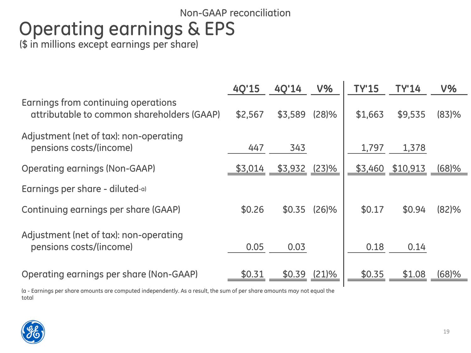## Operating earnings & EPS

(\$ in millions except earnings per share)

|                                                                                   | 4Q'15   | 40'14         | $V\%$            | <b>TY'15</b> | <b>TY'14</b> | $V\%$ |
|-----------------------------------------------------------------------------------|---------|---------------|------------------|--------------|--------------|-------|
| Earnings from continuing operations<br>attributable to common shareholders (GAAP) | \$2,567 | \$3,589       | $(28)\%$         | \$1,663      | \$9,535      | (83)% |
| Adjustment (net of tax): non-operating<br>pensions costs/(income)                 | 447     | 343           |                  | 1,797        | 1,378        |       |
| <b>Operating earnings (Non-GAAP)</b>                                              | \$3,014 | \$3,932 (23)% |                  | \$3,460      | \$10,913     | (68)% |
| Earnings per share - diluted-a)                                                   |         |               |                  |              |              |       |
| Continuing earnings per share (GAAP)                                              | \$0.26  | \$0.35        | $(26)\%$         | \$0.17       | \$0.94       | (82)% |
| Adjustment (net of tax): non-operating<br>pensions costs/(income)                 | 0.05    | 0.03          |                  | 0.18         | 0.14         |       |
| Operating earnings per share (Non-GAAP)                                           | \$0.31  |               | $$0.39$ $(21)\%$ | \$0.35       | \$1.08       | (68)% |

(a - Earnings per share amounts are computed independently. As a result, the sum of per share amounts may not equal the total

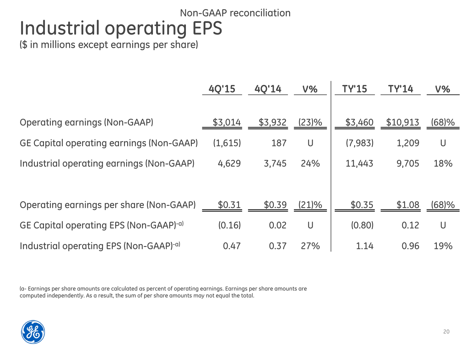### Industrial operating EPS Non-GAAP reconciliation

(\$ in millions except earnings per share)

|                                                 | 4Q'15   | <b>40'14</b> | $V\%$    | <b>TY'15</b> | <b>TY'14</b> | $V\%$  |
|-------------------------------------------------|---------|--------------|----------|--------------|--------------|--------|
|                                                 |         |              |          |              |              |        |
| <b>Operating earnings (Non-GAAP)</b>            | \$3,014 | \$3,932      | (23)%    | \$3,460      | \$10,913     | (68)%  |
| <b>GE Capital operating earnings (Non-GAAP)</b> | (1,615) | 187          | $\cup$   | (7,983)      | 1,209        | $\cup$ |
| Industrial operating earnings (Non-GAAP)        | 4,629   | 3,745        | 24%      | 11,443       | 9,705        | 18%    |
|                                                 |         |              |          |              |              |        |
| Operating earnings per share (Non-GAAP)         | \$0.31  | \$0.39       | $(21)\%$ | \$0.35       | \$1.08       | (68)%  |
| GE Capital operating EPS (Non-GAAP)-a)          | (0.16)  | 0.02         | U        | (0.80)       | 0.12         | $\cup$ |
| Industrial operating EPS (Non-GAAP)-a)          | 0.47    | 0.37         | 27%      | 1.14         | 0.96         | 19%    |

(a- Earnings per share amounts are calculated as percent of operating earnings. Earnings per share amounts are computed independently. As a result, the sum of per share amounts may not equal the total.

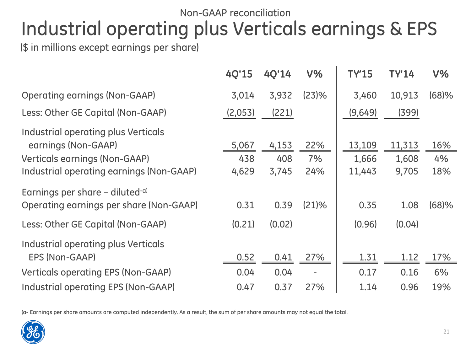## Industrial operating plus Verticals earnings & EPS

(\$ in millions except earnings per share)

|                                                                                  | 4Q'15   | 4Q'14  | $V\%$                    | <b>TY'15</b> | <b>TY'14</b> | $V\%$ |
|----------------------------------------------------------------------------------|---------|--------|--------------------------|--------------|--------------|-------|
| <b>Operating earnings (Non-GAAP)</b>                                             | 3,014   | 3,932  | (23)%                    | 3,460        | 10,913       | (68)% |
| Less: Other GE Capital (Non-GAAP)                                                | (2,053) | (221)  |                          | (9,649)      | (399)        |       |
| <b>Industrial operating plus Verticals</b><br>earnings (Non-GAAP)                | 5,067   | 4,153  | 22%                      | 13,109       | 11,313       | 16%   |
| <b>Verticals earnings (Non-GAAP)</b>                                             | 438     | 408    | 7%                       | 1,666        | 1,608        | 4%    |
| Industrial operating earnings (Non-GAAP)                                         | 4,629   | 3,745  | 24%                      | 11,443       | 9,705        | 18%   |
| Earnings per share $-$ diluted $-a$ )<br>Operating earnings per share (Non-GAAP) | 0.31    | 0.39   | $(21)\%$                 | 0.35         | 1.08         | (68)% |
| Less: Other GE Capital (Non-GAAP)                                                | (0.21)  | (0.02) |                          | (0.96)       | (0.04)       |       |
| Industrial operating plus Verticals<br><b>EPS (Non-GAAP)</b>                     | 0.52    | 0.41   | 27%                      | <u>1.31</u>  | <u>1.12</u>  | 17%   |
| <b>Verticals operating EPS (Non-GAAP)</b>                                        | 0.04    | 0.04   | $\overline{\phantom{a}}$ | 0.17         | 0.16         | 6%    |
| Industrial operating EPS (Non-GAAP)                                              | 0.47    | 0.37   | 27%                      | 1.14         | 0.96         | 19%   |

(a- Earnings per share amounts are computed independently. As a result, the sum of per share amounts may not equal the total.

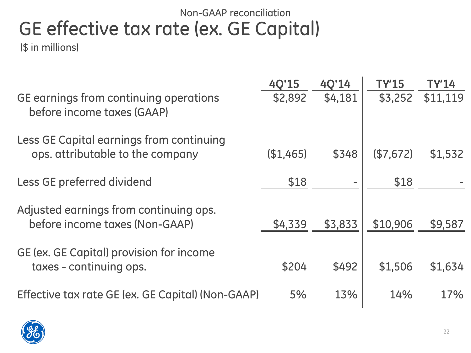### GE effective tax rate (ex. GE Capital) Non-GAAP reconciliation

(\$ in millions)

|                                                                              | 40'15     | 40'14   | <b>TY'15</b> | <b>TY'14</b> |
|------------------------------------------------------------------------------|-----------|---------|--------------|--------------|
| GE earnings from continuing operations<br>before income taxes (GAAP)         | \$2,892   | \$4,181 | \$3,252      | \$11,119     |
| Less GE Capital earnings from continuing<br>ops. attributable to the company | (\$1,465) | \$348   | (\$7,672)    | \$1,532      |
| Less GE preferred dividend                                                   | \$18      |         | \$18         |              |
| Adjusted earnings from continuing ops.<br>before income taxes (Non-GAAP)     | \$4,339   | \$3,833 | \$10,906     | \$9,587      |
| GE (ex. GE Capital) provision for income<br>taxes - continuing ops.          | \$204     | \$492   | \$1,506      | \$1,634      |
| Effective tax rate GE (ex. GE Capital) (Non-GAAP)                            | 5%        | 13%     | 14%          | 17%          |

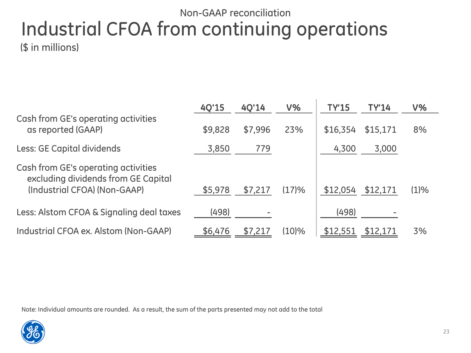### Industrial CFOA from continuing operations Non-GAAP reconciliation

(\$ in millions)

|                                                                                                            | 4Q'15   | 4Q'14   | $V\%$    | <b>TY'15</b> | <b>TY'14</b> | $V\%$   |
|------------------------------------------------------------------------------------------------------------|---------|---------|----------|--------------|--------------|---------|
| Cash from GE's operating activities<br>as reported (GAAP)                                                  | \$9,828 | \$7,996 | 23%      | \$16,354     | \$15,171     | 8%      |
| Less: GE Capital dividends                                                                                 | 3,850   | 779     |          | 4,300        | 3,000        |         |
| Cash from GE's operating activities<br>excluding dividends from GE Capital<br>(Industrial CFOA) (Non-GAAP) | \$5,978 | \$7,217 | (17)%    | \$12,054     | \$12,171     | $(1)\%$ |
| Less: Alstom CFOA & Signaling deal taxes                                                                   | (498)   |         |          | (498)        |              |         |
| Industrial CFOA ex. Alstom (Non-GAAP)                                                                      | \$6,476 | \$7,217 | $(10)\%$ | \$12,551     | \$12,171     | 3%      |

Note: Individual amounts are rounded. As a result, the sum of the parts presented may not add to the total

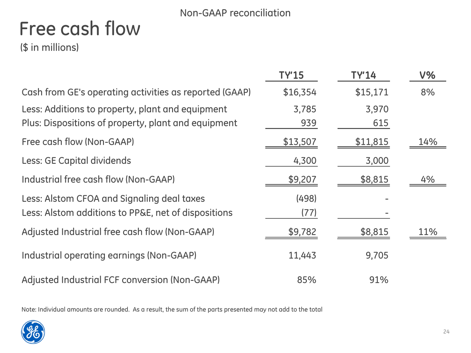### Free cash flow

(\$ in millions)

|                                                                                                         | <b>TY'15</b>  | <b>TY'14</b> | $V\%$ |
|---------------------------------------------------------------------------------------------------------|---------------|--------------|-------|
| Cash from GE's operating activities as reported (GAAP)                                                  | \$16,354      | \$15,171     | 8%    |
| Less: Additions to property, plant and equipment<br>Plus: Dispositions of property, plant and equipment | 3,785<br>939  | 3,970<br>615 |       |
| Free cash flow (Non-GAAP)                                                                               | \$13,507      | \$11,815     | 14%   |
| Less: GE Capital dividends                                                                              | 4,300         | 3,000        |       |
| Industrial free cash flow (Non-GAAP)                                                                    | \$9,207       | \$8,815      | 4%    |
| Less: Alstom CFOA and Signaling deal taxes<br>Less: Alstom additions to PP&E, net of dispositions       | (498)<br>(77) |              |       |
| Adjusted Industrial free cash flow (Non-GAAP)                                                           | \$9,782       | \$8,815      | 11%   |
| Industrial operating earnings (Non-GAAP)                                                                | 11,443        | 9,705        |       |
| Adjusted Industrial FCF conversion (Non-GAAP)                                                           | 85%           | 91%          |       |

Note: Individual amounts are rounded. As a result, the sum of the parts presented may not add to the total

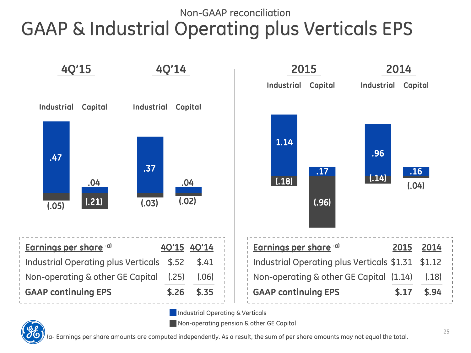### GAAP & Industrial Operating plus Verticals EPS Non-GAAP reconciliation







**Industrial Operating & Verticals** 

Non-operating pension & other GE Capital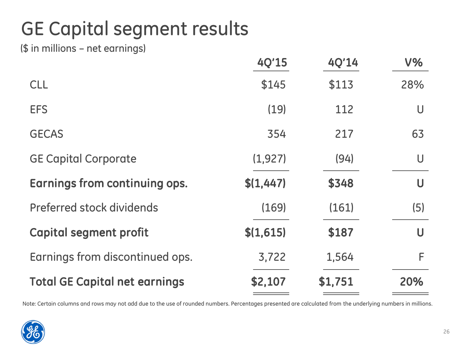## GE Capital segment results

(\$ in millions – net earnings)

|                                      | 4Q'15      | 4Q'14   | $V\%$     |
|--------------------------------------|------------|---------|-----------|
| <b>CLL</b>                           | \$145      | \$113   | 28%       |
| <b>EFS</b>                           | (19)       | 112     | $\bigcup$ |
| <b>GECAS</b>                         | 354        | 217     | 63        |
| <b>GE Capital Corporate</b>          | (1, 927)   | (94)    | $\bigcup$ |
| Earnings from continuing ops.        | \$(1, 447) | \$348   | $\bigcup$ |
| Preferred stock dividends            | (169)      | (161)   | (5)       |
| <b>Capital segment profit</b>        | \$(1,615)  | \$187   | $\bigcup$ |
| Earnings from discontinued ops.      | 3,722      | 1,564   | F         |
| <b>Total GE Capital net earnings</b> | \$2,107    | \$1,751 | 20%       |

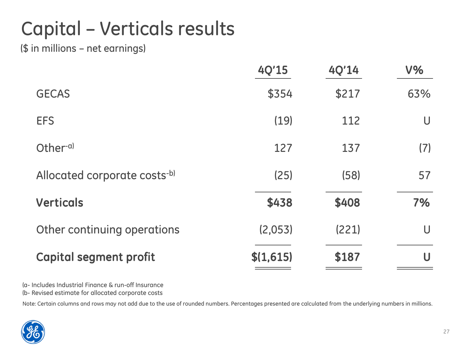### Capital – Verticals results

(\$ in millions – net earnings)

|                              | 40'15     | 40'14 | $V\%$     |
|------------------------------|-----------|-------|-----------|
| <b>GECAS</b>                 | \$354     | \$217 | 63%       |
| <b>EFS</b>                   | (19)      | 112   | $\bigcup$ |
| Other $-a$ )                 | 127       | 137   | (7)       |
| Allocated corporate costs-b) | (25)      | (58)  | 57        |
| <b>Verticals</b>             | \$438     | \$408 | 7%        |
| Other continuing operations  | (2,053)   | (221) | $\cup$    |
| Capital segment profit       | \$(1,615) | \$187 | U         |

(a- Includes Industrial Finance & run-off Insurance

(b- Revised estimate for allocated corporate costs

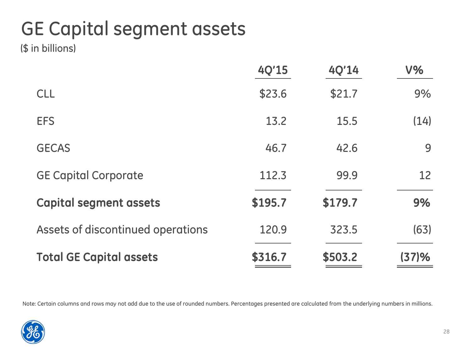## GE Capital segment assets

(\$ in billions)

|                                   | 4Q'15   | 4Q'14   | $V\%$ |
|-----------------------------------|---------|---------|-------|
| <b>CLL</b>                        | \$23.6  | \$21.7  | 9%    |
| <b>EFS</b>                        | 13.2    | 15.5    | (14)  |
| <b>GECAS</b>                      | 46.7    | 42.6    | 9     |
| <b>GE Capital Corporate</b>       | 112.3   | 99.9    | 12    |
| Capital segment assets            | \$195.7 | \$179.7 | 9%    |
| Assets of discontinued operations | 120.9   | 323.5   | (63)  |
| <b>Total GE Capital assets</b>    | \$316.7 | \$503.2 | (37)% |

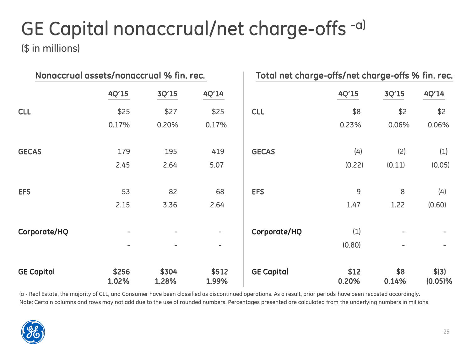## GE Capital nonaccrual/net charge-offs -a)

(\$ in millions)

|                   | Nonaccrual assets/nonaccrual % fin. rec. |                              |                          | Total net charge-offs/net charge-offs % fin. rec. |               |                   |                     |
|-------------------|------------------------------------------|------------------------------|--------------------------|---------------------------------------------------|---------------|-------------------|---------------------|
|                   | 4Q'15                                    | 3Q'15                        | 4Q'14                    |                                                   | 4Q'15         | 3Q'15             | 4Q'14               |
| <b>CLL</b>        | \$25                                     | \$27                         | \$25                     | <b>CLL</b>                                        | \$8           | \$2               | \$2                 |
|                   | 0.17%                                    | 0.20%                        | 0.17%                    |                                                   | 0.23%         | 0.06%             | 0.06%               |
| <b>GECAS</b>      | 179                                      | 195                          | 419                      | <b>GECAS</b>                                      | (4)           | (2)               | (1)                 |
|                   | 2.45                                     | 2.64                         | 5.07                     |                                                   | (0.22)        | (0.11)            | (0.05)              |
| <b>EFS</b>        | 53                                       | 82                           | 68                       | <b>EFS</b>                                        | 9             | 8                 | (4)                 |
|                   | 2.15                                     | 3.36                         | 2.64                     |                                                   | 1.47          | 1.22              | (0.60)              |
| Corporate/HQ      |                                          | $\qquad \qquad \blacksquare$ |                          | Corporate/HQ                                      | (1)           |                   |                     |
|                   |                                          |                              | $\overline{\phantom{a}}$ |                                                   | (0.80)        | $\qquad \qquad =$ |                     |
| <b>GE Capital</b> | \$256<br>1.02%                           | \$304<br>1.28%               | \$512<br>1.99%           | <b>GE Capital</b>                                 | \$12<br>0.20% | \$8<br>0.14%      | \$(3)<br>$(0.05)$ % |

(a - Real Estate, the majority of CLL, and Consumer have been classified as discontinued operations. As a result, prior periods have been recasted accordingly. Note: Certain columns and rows may not add due to the use of rounded numbers. Percentages presented are calculated from the underlying numbers in millions.

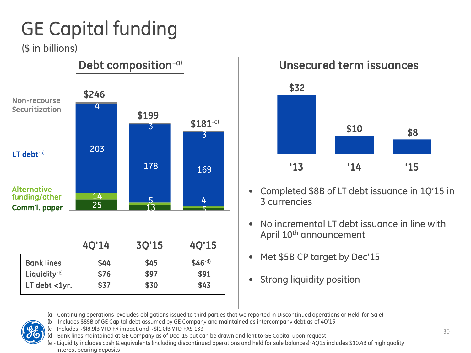## GE Capital funding

(\$ in billions)



### Debt composition–a)



- Completed \$8B of LT debt issuance in 1Q'15 in 3 currencies
- No incremental LT debt issuance in line with April 10th announcement
- Met \$5B CP target by Dec'15
- Strong liquidity position





(c - Includes ~\$(8.9)B YTD FX impact and ~\$(1.0)B YTD FAS 133



(e - Liquidity includes cash & equivalents (including discontinued operations and held for sale balances); 4Q15 includes \$10.4B of high quality interest bearing deposits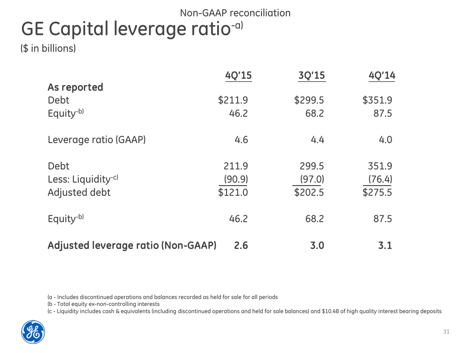### GE Capital leverage ratio-a) Non-GAAP reconciliation

(\$ in billions)

|                                                         | 4Q'15                      | 3Q'15                      | 4Q'14                      |
|---------------------------------------------------------|----------------------------|----------------------------|----------------------------|
| As reported<br><b>Debt</b><br>Equity-b)                 | \$211.9<br>46.2            | \$299.5<br>68.2            | \$351.9<br>87.5            |
| Leverage ratio (GAAP)                                   | 4.6                        | 4.4                        | 4.0                        |
| Debt<br>Less: Liquidity <sup>-c)</sup><br>Adjusted debt | 211.9<br>(90.9)<br>\$121.0 | 299.5<br>(97.0)<br>\$202.5 | 351.9<br>(76.4)<br>\$275.5 |
| Equity-bl                                               | 46.2                       | 68.2                       | 87.5                       |
| Adjusted leverage ratio (Non-GAAP)                      | 2.6                        | 3.0                        | 3.1                        |

(a - Includes discontinued operations and balances recorded as held for sale for all periods

(b - Total equity ex-non-controlling interests

(c - Liquidity includes cash & equivalents (including discontinued operations and held for sale balances) and \$10.4B of high quality interest bearing deposits

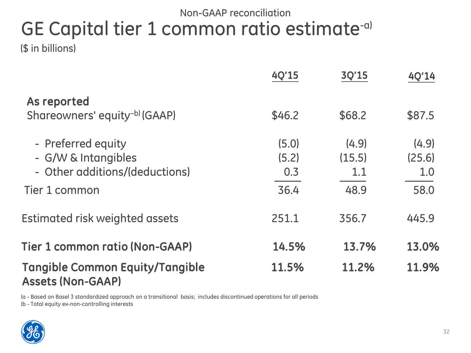### GE Capital tier 1 common ratio estimate-a) Non-GAAP reconciliation

(\$ in billions)

|                                                                                              | 4Q'15                         | 3Q'15                          | 40'14                          |
|----------------------------------------------------------------------------------------------|-------------------------------|--------------------------------|--------------------------------|
| As reported<br>Shareowners' equity <sup>-b)</sup> (GAAP)                                     | \$46.2                        | \$68.2                         | \$87.5                         |
| - Preferred equity<br>- G/W & Intangibles<br>- Other additions/(deductions)<br>Tier 1 common | (5.0)<br>(5.2)<br>0.3<br>36.4 | (4.9)<br>(15.5)<br>1.1<br>48.9 | (4.9)<br>(25.6)<br>1.0<br>58.0 |
| Estimated risk weighted assets                                                               | 251.1                         | 356.7                          | 445.9                          |
| Tier 1 common ratio (Non-GAAP)                                                               | 14.5%                         | 13.7%                          | 13.0%                          |
| <b>Tangible Common Equity/Tangible</b><br><b>Assets (Non-GAAP)</b>                           | 11.5%                         | 11.2%                          | 11.9%                          |

(a - Based on Basel 3 standardized approach on a transitional basis; includes discontinued operations for all periods

(b - Total equity ex-non-controlling interests

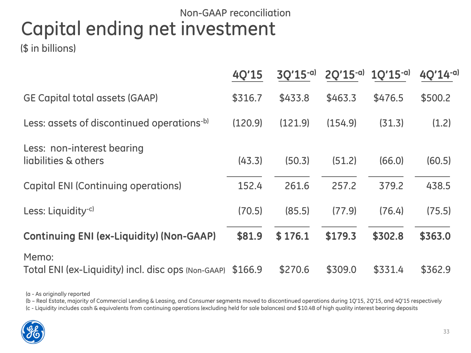### Capital ending net investment Non-GAAP reconciliation

(\$ in billions)

|                                                                     | <b>40'15</b> | $3Q'15^{-a}$ |         | 2Q'15-a) 1Q'15-a) | $40'14^{-a}$ |
|---------------------------------------------------------------------|--------------|--------------|---------|-------------------|--------------|
| <b>GE Capital total assets (GAAP)</b>                               | \$316.7      | \$433.8      | \$463.3 | \$476.5           | \$500.2      |
| Less: assets of discontinued operations <sup>-b)</sup>              | (120.9)      | (121.9)      | (154.9) | (31.3)            | (1.2)        |
| Less: non-interest bearing<br>liabilities & others                  | (43.3)       | (50.3)       | (51.2)  | (66.0)            | (60.5)       |
| <b>Capital ENI (Continuing operations)</b>                          | 152.4        | 261.6        | 257.2   | 379.2             | 438.5        |
| Less: Liquidity <sup>-c)</sup>                                      | (70.5)       | (85.5)       | (77.9)  | (76.4)            | (75.5)       |
| <b>Continuing ENI (ex-Liquidity) (Non-GAAP)</b>                     | \$81.9       | \$176.1      | \$179.3 | \$302.8           | \$363.0      |
| Memo:<br>Total ENI (ex-Liquidity) incl. disc ops (Non-GAAP) \$166.9 |              | \$270.6      | \$309.0 | \$331.4           | \$362.9      |

(a - As originally reported

(b – Real Estate, majority of Commercial Lending & Leasing, and Consumer segments moved to discontinued operations during 1Q'15, 2Q'15, and 4Q'15 respectively

(c - Liquidity includes cash & equivalents from continuing operations (excluding held for sale balances) and \$10.4B of high quality interest bearing deposits

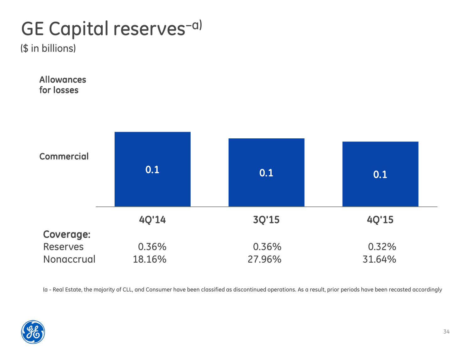## GE Capital reserves–a)

(\$ in billions)

Allowances for losses



(a - Real Estate, the majority of CLL, and Consumer have been classified as discontinued operations. As a result, prior periods have been recasted accordingly

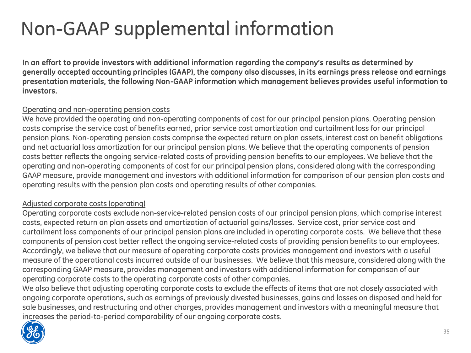In an effort to provide investors with additional information regarding the company's results as determined by generally accepted accounting principles (GAAP), the company also discusses, in its earnings press release and earnings presentation materials, the following Non-GAAP information which management believes provides useful information to investors.

#### Operating and non-operating pension costs

We have provided the operating and non-operating components of cost for our principal pension plans. Operating pension costs comprise the service cost of benefits earned, prior service cost amortization and curtailment loss for our principal pension plans. Non-operating pension costs comprise the expected return on plan assets, interest cost on benefit obligations and net actuarial loss amortization for our principal pension plans. We believe that the operating components of pension costs better reflects the ongoing service-related costs of providing pension benefits to our employees. We believe that the operating and non-operating components of cost for our principal pension plans, considered along with the corresponding GAAP measure, provide management and investors with additional information for comparison of our pension plan costs and operating results with the pension plan costs and operating results of other companies.

#### Adjusted corporate costs (operating)

Operating corporate costs exclude non-service-related pension costs of our principal pension plans, which comprise interest costs, expected return on plan assets and amortization of actuarial gains/losses. Service cost, prior service cost and curtailment loss components of our principal pension plans are included in operating corporate costs. We believe that these components of pension cost better reflect the ongoing service-related costs of providing pension benefits to our employees. Accordingly, we believe that our measure of operating corporate costs provides management and investors with a useful measure of the operational costs incurred outside of our businesses. We believe that this measure, considered along with the corresponding GAAP measure, provides management and investors with additional information for comparison of our operating corporate costs to the operating corporate costs of other companies.

We also believe that adjusting operating corporate costs to exclude the effects of items that are not closely associated with ongoing corporate operations, such as earnings of previously divested businesses, gains and losses on disposed and held for sale businesses, and restructuring and other charges, provides management and investors with a meaningful measure that increases the period-to-period comparability of our ongoing corporate costs.

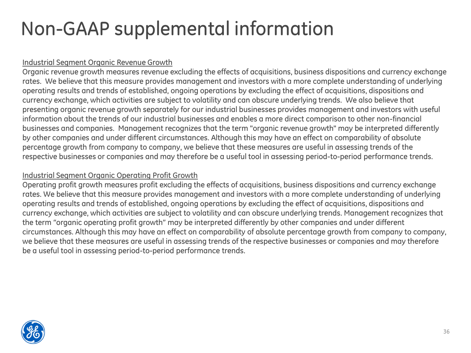#### Industrial Segment Organic Revenue Growth

Organic revenue growth measures revenue excluding the effects of acquisitions, business dispositions and currency exchange rates. We believe that this measure provides management and investors with a more complete understanding of underlying operating results and trends of established, ongoing operations by excluding the effect of acquisitions, dispositions and currency exchange, which activities are subject to volatility and can obscure underlying trends. We also believe that presenting organic revenue growth separately for our industrial businesses provides management and investors with useful information about the trends of our industrial businesses and enables a more direct comparison to other non-financial businesses and companies. Management recognizes that the term "organic revenue growth" may be interpreted differently by other companies and under different circumstances. Although this may have an effect on comparability of absolute percentage growth from company to company, we believe that these measures are useful in assessing trends of the respective businesses or companies and may therefore be a useful tool in assessing period-to-period performance trends.

#### Industrial Segment Organic Operating Profit Growth

Operating profit growth measures profit excluding the effects of acquisitions, business dispositions and currency exchange rates. We believe that this measure provides management and investors with a more complete understanding of underlying operating results and trends of established, ongoing operations by excluding the effect of acquisitions, dispositions and currency exchange, which activities are subject to volatility and can obscure underlying trends. Management recognizes that the term "organic operating profit growth" may be interpreted differently by other companies and under different circumstances. Although this may have an effect on comparability of absolute percentage growth from company to company, we believe that these measures are useful in assessing trends of the respective businesses or companies and may therefore be a useful tool in assessing period-to-period performance trends.

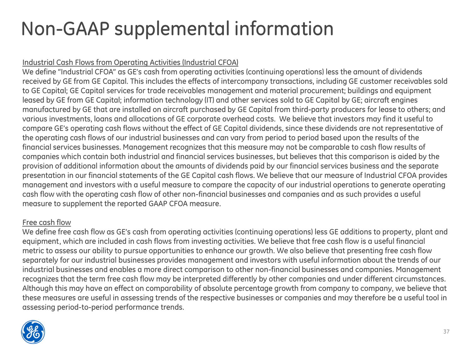#### Industrial Cash Flows from Operating Activities (Industrial CFOA)

We define "Industrial CFOA" as GE's cash from operating activities (continuing operations) less the amount of dividends received by GE from GE Capital. This includes the effects of intercompany transactions, including GE customer receivables sold to GE Capital; GE Capital services for trade receivables management and material procurement; buildings and equipment leased by GE from GE Capital; information technology (IT) and other services sold to GE Capital by GE; aircraft engines manufactured by GE that are installed on aircraft purchased by GE Capital from third-party producers for lease to others; and various investments, loans and allocations of GE corporate overhead costs. We believe that investors may find it useful to compare GE's operating cash flows without the effect of GE Capital dividends, since these dividends are not representative of the operating cash flows of our industrial businesses and can vary from period to period based upon the results of the financial services businesses. Management recognizes that this measure may not be comparable to cash flow results of companies which contain both industrial and financial services businesses, but believes that this comparison is aided by the provision of additional information about the amounts of dividends paid by our financial services business and the separate presentation in our financial statements of the GE Capital cash flows. We believe that our measure of Industrial CFOA provides management and investors with a useful measure to compare the capacity of our industrial operations to generate operating cash flow with the operating cash flow of other non-financial businesses and companies and as such provides a useful measure to supplement the reported GAAP CFOA measure.

#### Free cash flow

We define free cash flow as GE's cash from operating activities (continuing operations) less GE additions to property, plant and equipment, which are included in cash flows from investing activities. We believe that free cash flow is a useful financial metric to assess our ability to pursue opportunities to enhance our growth. We also believe that presenting free cash flow separately for our industrial businesses provides management and investors with useful information about the trends of our industrial businesses and enables a more direct comparison to other non-financial businesses and companies. Management recognizes that the term free cash flow may be interpreted differently by other companies and under different circumstances. Although this may have an effect on comparability of absolute percentage growth from company to company, we believe that these measures are useful in assessing trends of the respective businesses or companies and may therefore be a useful tool in assessing period-to-period performance trends.

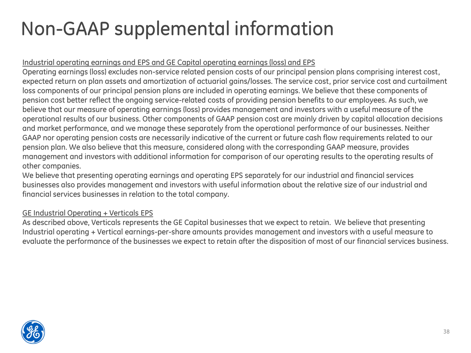#### Industrial operating earnings and EPS and GE Capital operating earnings (loss) and EPS

Operating earnings (loss) excludes non-service related pension costs of our principal pension plans comprising interest cost, expected return on plan assets and amortization of actuarial gains/losses. The service cost, prior service cost and curtailment loss components of our principal pension plans are included in operating earnings. We believe that these components of pension cost better reflect the ongoing service-related costs of providing pension benefits to our employees. As such, we believe that our measure of operating earnings (loss) provides management and investors with a useful measure of the operational results of our business. Other components of GAAP pension cost are mainly driven by capital allocation decisions and market performance, and we manage these separately from the operational performance of our businesses. Neither GAAP nor operating pension costs are necessarily indicative of the current or future cash flow requirements related to our pension plan. We also believe that this measure, considered along with the corresponding GAAP measure, provides management and investors with additional information for comparison of our operating results to the operating results of other companies.

We believe that presenting operating earnings and operating EPS separately for our industrial and financial services businesses also provides management and investors with useful information about the relative size of our industrial and financial services businesses in relation to the total company.

#### GE Industrial Operating + Verticals EPS

As described above, Verticals represents the GE Capital businesses that we expect to retain. We believe that presenting Industrial operating + Vertical earnings-per-share amounts provides management and investors with a useful measure to evaluate the performance of the businesses we expect to retain after the disposition of most of our financial services business.

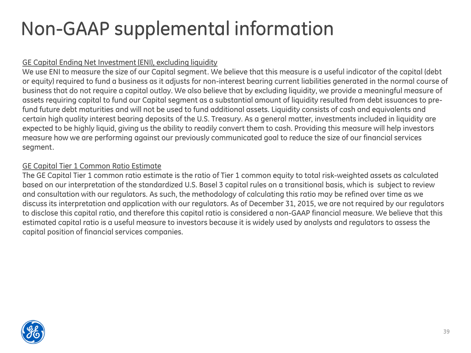#### GE Capital Ending Net Investment (ENI), excluding liquidity

We use ENI to measure the size of our Capital segment. We believe that this measure is a useful indicator of the capital (debt or equity) required to fund a business as it adjusts for non-interest bearing current liabilities generated in the normal course of business that do not require a capital outlay. We also believe that by excluding liquidity, we provide a meaningful measure of assets requiring capital to fund our Capital segment as a substantial amount of liquidity resulted from debt issuances to prefund future debt maturities and will not be used to fund additional assets. Liquidity consists of cash and equivalents and certain high quality interest bearing deposits of the U.S. Treasury. As a general matter, investments included in liquidity are expected to be highly liquid, giving us the ability to readily convert them to cash. Providing this measure will help investors measure how we are performing against our previously communicated goal to reduce the size of our financial services segment.

#### GE Capital Tier 1 Common Ratio Estimate

The GE Capital Tier 1 common ratio estimate is the ratio of Tier 1 common equity to total risk-weighted assets as calculated based on our interpretation of the standardized U.S. Basel 3 capital rules on a transitional basis, which is subject to review and consultation with our regulators. As such, the methodology of calculating this ratio may be refined over time as we discuss its interpretation and application with our regulators. As of December 31, 2015, we are not required by our regulators to disclose this capital ratio, and therefore this capital ratio is considered a non-GAAP financial measure. We believe that this estimated capital ratio is a useful measure to investors because it is widely used by analysts and regulators to assess the capital position of financial services companies.